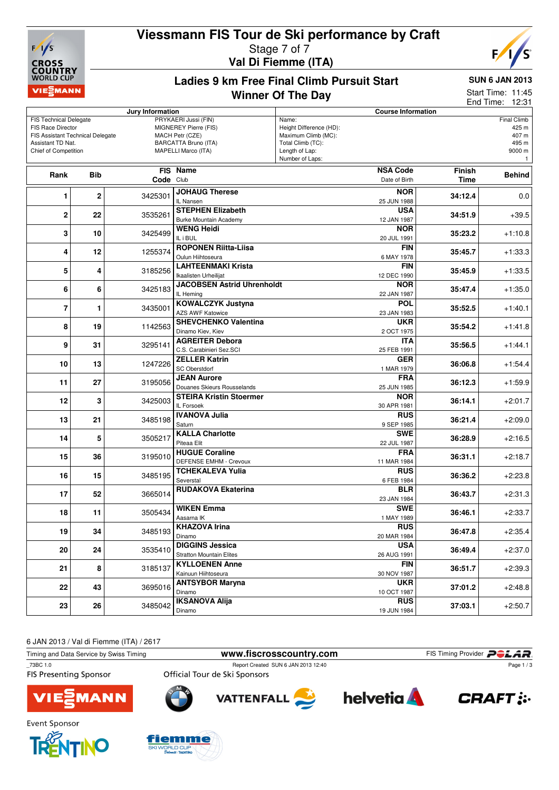# **Viessmann FIS Tour de Ski performance by Craft**



### Stage 7 of 7 **Val Di Fiemme (ITA)**



**Ladies 9 km Free Final Climb Pursuit Start**

## **SUN 6 JAN 2013**

#### **Winner Of The Day**

Start Time: 11:45

End Time: 12:31

|                                                       |                    | Jury Information |                                         |                                     | <b>Course Information</b> |               |                    |
|-------------------------------------------------------|--------------------|------------------|-----------------------------------------|-------------------------------------|---------------------------|---------------|--------------------|
| <b>FIS Technical Delegate</b>                         |                    |                  | PRYKAERI Jussi (FIN)                    | Name:                               |                           |               | <b>Final Climb</b> |
| FIS Race Director                                     |                    |                  | MIGNEREY Pierre (FIS)                   | Height Difference (HD):             |                           |               | 425 m              |
| FIS Assistant Technical Delegate<br>Assistant TD Nat. |                    |                  | MACH Petr (CZE)<br>BARCATTA Bruno (ITA) | Maximum Climb (MC):                 |                           |               | 407 m              |
| Chief of Competition                                  |                    |                  | MAPELLI Marco (ITA)                     | Total Climb (TC):<br>Length of Lap: |                           |               | 495 m<br>9000 m    |
|                                                       |                    |                  |                                         | Number of Laps:                     |                           |               | $\mathbf{1}$       |
|                                                       |                    |                  |                                         |                                     |                           |               |                    |
| Rank                                                  | <b>Bib</b>         |                  | <b>FIS Name</b>                         |                                     | <b>NSA Code</b>           | <b>Finish</b> | <b>Behind</b>      |
|                                                       |                    | Code Club        |                                         |                                     | Date of Birth             | <b>Time</b>   |                    |
| 1                                                     | $\overline{2}$     | 3425301          | <b>JOHAUG Therese</b>                   |                                     | <b>NOR</b>                | 34:12.4       | 0.0                |
|                                                       |                    |                  | IL Nansen                               |                                     | 25 JUN 1988               |               |                    |
|                                                       |                    |                  | <b>STEPHEN Elizabeth</b>                |                                     | <b>USA</b>                |               |                    |
| $\mathbf 2$                                           | 22                 | 3535261          | <b>Burke Mountain Academy</b>           |                                     | 12 JAN 1987               | 34:51.9       | $+39.5$            |
|                                                       |                    |                  | WENG Heidi                              |                                     | <b>NOR</b>                |               |                    |
| 3                                                     | 10                 | 3425499          | IL i BUL                                |                                     | 20 JUL 1991               | 35:23.2       | $+1:10.8$          |
|                                                       |                    |                  | <b>ROPONEN Riitta-Liisa</b>             |                                     | <b>FIN</b>                |               |                    |
| 4                                                     | 12                 | 1255374          | Oulun Hiihtoseura                       |                                     | 6 MAY 1978                | 35:45.7       | $+1:33.3$          |
|                                                       |                    |                  | <b>LAHTEENMAKI Krista</b>               |                                     | <b>FIN</b>                |               |                    |
| 5                                                     | 4                  | 3185256          | Ikaalisten Urheilijat                   |                                     | 12 DEC 1990               | 35:45.9       | $+1:33.5$          |
|                                                       |                    |                  | <b>JACOBSEN Astrid Uhrenholdt</b>       |                                     | <b>NOR</b>                |               |                    |
| 6                                                     | 6                  | 3425183          | IL Hemina                               |                                     | 22 JAN 1987               | 35:47.4       | $+1:35.0$          |
|                                                       |                    |                  |                                         |                                     |                           |               |                    |
| $\overline{7}$                                        | 1                  | 3435001          | <b>KOWALCZYK Justyna</b>                |                                     | <b>POL</b>                | 35:52.5       | $+1:40.1$          |
|                                                       |                    |                  | <b>AZS AWF Katowice</b>                 |                                     | 23 JAN 1983               |               |                    |
| 8                                                     | 19                 | 1142563          | <b>SHEVCHENKO Valentina</b>             |                                     | <b>UKR</b>                | 35:54.2       | $+1:41.8$          |
|                                                       |                    |                  | Dinamo Kiev, Kiev                       |                                     | 2 OCT 1975                |               |                    |
|                                                       | 9<br>31<br>3295141 |                  | <b>AGREITER Debora</b>                  |                                     | <b>ITA</b>                | 35:56.5       | $+1:44.1$          |
|                                                       |                    |                  | C.S. Carabinieri Sez.SCI                |                                     | 25 FEB 1991               |               |                    |
| 10                                                    | 13                 | 1247226          | <b>ZELLER Katrin</b>                    |                                     | <b>GER</b>                | 36:06.8       | $+1:54.4$          |
|                                                       |                    |                  | <b>SC Oberstdorf</b>                    |                                     | 1 MAR 1979                |               |                    |
| 11                                                    | 27                 | 3195056          | <b>JEAN Aurore</b>                      |                                     | <b>FRA</b>                | 36:12.3       | $+1:59.9$          |
|                                                       |                    |                  | Douanes Skieurs Rousselands             |                                     | 25 JUN 1985               |               |                    |
| 12                                                    | 3                  | 3425003          | <b>STEIRA Kristin Stoermer</b>          |                                     | <b>NOR</b>                | 36:14.1       | $+2:01.7$          |
|                                                       |                    |                  | IL Forsoek                              |                                     | 30 APR 1981               |               |                    |
|                                                       | 21                 |                  | <b>IVANOVA Julia</b>                    |                                     | <b>RUS</b>                |               |                    |
| 13                                                    |                    | 3485198          | Saturn                                  |                                     | 9 SEP 1985                | 36:21.4       | $+2:09.0$          |
|                                                       |                    |                  | <b>KALLA Charlotte</b>                  |                                     | <b>SWE</b>                |               |                    |
| 14                                                    | 5                  | 3505217          | Piteaa Elit                             |                                     | 22 JUL 1987               | 36:28.9       | $+2:16.5$          |
|                                                       |                    |                  | <b>HUGUE Coraline</b>                   |                                     | <b>FRA</b>                |               |                    |
| 15                                                    | 36                 | 3195010          | <b>DEFENSE EMHM - Crevoux</b>           |                                     | 11 MAR 1984               | 36:31.1       | $+2:18.7$          |
|                                                       |                    |                  | TCHEKALEVA Yulia                        |                                     | <b>RUS</b>                |               |                    |
| 16                                                    | 15                 | 3485195          | Severstal                               |                                     | 6 FEB 1984                | 36:36.2       | $+2:23.8$          |
|                                                       |                    |                  | <b>RUDAKOVA Ekaterina</b>               |                                     | <b>BLR</b>                |               |                    |
| 17                                                    | 52                 | 3665014          |                                         |                                     | 23 JAN 1984               | 36:43.7       | $+2:31.3$          |
|                                                       |                    |                  | <b>WIKEN Emma</b>                       |                                     | <b>SWE</b>                |               |                    |
| 18                                                    | 11                 | 3505434          | Aasarna IK                              |                                     |                           | 36:46.1       | $+2:33.7$          |
|                                                       |                    |                  |                                         |                                     | 1 MAY 1989                |               |                    |
| 19                                                    | 34                 | 3485193          | <b>KHAZOVA Irina</b>                    |                                     | <b>RUS</b>                | 36:47.8       | $+2:35.4$          |
|                                                       |                    |                  | Dinamo                                  |                                     | 20 MAR 1984               |               |                    |
| 20                                                    | 24                 | 3535410          | <b>DIGGINS Jessica</b>                  |                                     | <b>USA</b>                | 36:49.4       | $+2:37.0$          |
|                                                       |                    |                  | <b>Stratton Mountain Elites</b>         |                                     | 26 AUG 1991               |               |                    |
| 21                                                    | 8                  | 3185137          | <b>KYLLOENEN Anne</b>                   |                                     | FIN                       | 36:51.7       | $+2:39.3$          |
|                                                       |                    |                  | Kainuun Hiihtoseura                     |                                     | 30 NOV 1987               |               |                    |
| 22                                                    | 43                 | 3695016          | <b>ANTSYBOR Maryna</b>                  |                                     | <b>UKR</b>                | 37:01.2       | $+2:48.8$          |
|                                                       |                    |                  | Dinamo                                  |                                     | 10 OCT 1987               |               |                    |
| 23                                                    | 26                 | 3485042          | <b>IKSANOVA Alija</b>                   |                                     | <b>RUS</b>                | 37:03.1       | $+2:50.7$          |
|                                                       |                    |                  | Dinamo                                  |                                     | 19 JUN 1984               |               |                    |

6 JAN 2013 / Val di Fiemme (ITA) / 2617

**Event Sponsor** 

Timing and Data Service by Swiss Timing **www.fiscrosscountry.com** FIS Timing Provider **PCLAR**<br>
T3BC 1.0 **FIS Timing Provider** Page 1/3 Report Created SUN 6 JAN 2013 12:40<br>Official Tour de Ski Sponsors Page 1 / 3**FIS Presenting Sponsor helvetia VATTENFALL MANN** 



fiemme







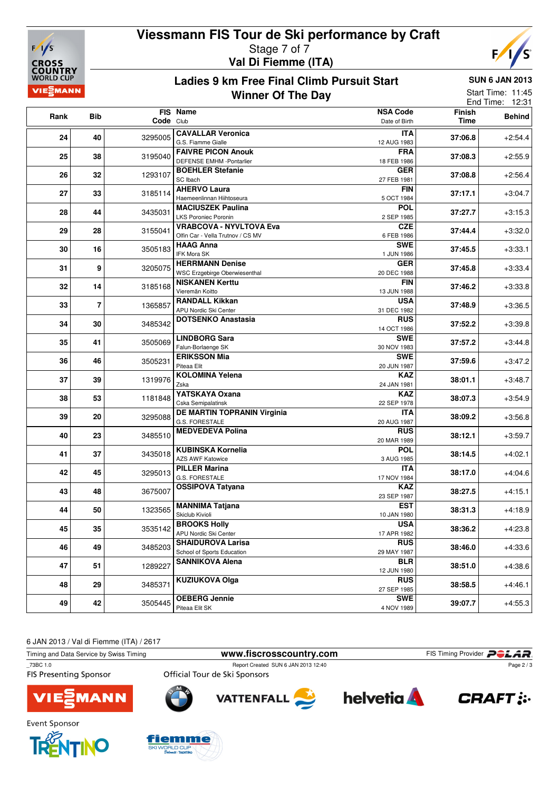

# **Viessmann FIS Tour de Ski performance by Craft** Stage 7 of 7

**Val Di Fiemme (ITA)**



**Ladies 9 km Free Final Climb Pursuit Start Winner Of The Day**

**SUN 6 JAN 2013**

| <b>IEEMANN</b> |                | Start Time: 11:45<br>End Time: 12:31 |                                                                     |                                  |                |               |
|----------------|----------------|--------------------------------------|---------------------------------------------------------------------|----------------------------------|----------------|---------------|
| Rank           | Bib            | Code Club                            | FIS Name                                                            | <b>NSA Code</b><br>Date of Birth | Finish<br>Time | <b>Behind</b> |
| 24             | 40             | 3295005                              | <b>CAVALLAR Veronica</b><br>G.S. Fiamme Gialle                      | ITA<br>12 AUG 1983               | 37:06.8        | $+2.54.4$     |
| 25             | 38             | 3195040                              | <b>FAIVRE PICON Anouk</b><br>DEFENSE EMHM -Pontarlier               | <b>FRA</b><br>18 FEB 1986        | 37:08.3        | $+2:55.9$     |
| 26             | 32             | 1293107                              | <b>BOEHLER Stefanie</b><br>SC Ibach                                 | <b>GER</b><br>27 FEB 1981        | 37:08.8        | $+2.56.4$     |
| 27             | 33             | 3185114                              | <b>AHERVO Laura</b><br>Haemeenlinnan Hiihtoseura                    | <b>FIN</b><br>5 OCT 1984         | 37:17.1        | $+3:04.7$     |
| 28             | 44             | 3435031                              | <b>MACIUSZEK Paulina</b><br><b>LKS Poroniec Poronin</b>             | <b>POL</b><br>2 SEP 1985         | 37:27.7        | $+3:15.3$     |
| 29             | 28             | 3155041                              | <b>VRABCOVA - NYVLTOVA Eva</b><br>Olfin Car - Vella Trutnov / CS MV | <b>CZE</b><br>6 FEB 1986         | 37:44.4        | $+3:32.0$     |
| 30             | 16             | 3505183                              | <b>HAAG Anna</b><br>IFK Mora SK                                     | <b>SWE</b><br>1 JUN 1986         | 37:45.5        | $+3:33.1$     |
| 31             | 9              | 3205075                              | <b>HERRMANN Denise</b><br><b>WSC Erzgebirge Oberwiesenthal</b>      | <b>GER</b><br>20 DEC 1988        | 37:45.8        | $+3.33.4$     |
| 32             | 14             | 3185168                              | <b>NISKANEN Kerttu</b><br>Vieremän Koitto                           | <b>FIN</b><br>13 JUN 1988        | 37:46.2        | $+3.33.8$     |
| 33             | $\overline{7}$ | 1365857                              | <b>RANDALL Kikkan</b><br>APU Nordic Ski Center                      | <b>USA</b><br>31 DEC 1982        | 37:48.9        | $+3:36.5$     |
| 34             | 30             | 3485342                              | <b>DOTSENKO Anastasia</b>                                           | <b>RUS</b><br>14 OCT 1986        | 37:52.2        | $+3:39.8$     |
| 35             | 41             | 3505069                              | <b>LINDBORG Sara</b><br>Falun-Borlaenge SK                          | <b>SWE</b><br>30 NOV 1983        | 37:57.2        | $+3.44.8$     |
| 36             | 46             | 3505231                              | <b>ERIKSSON Mia</b><br>Piteaa Elit                                  | <b>SWE</b><br>20 JUN 1987        | 37:59.6        | $+3.47.2$     |
| 37             | 39             | 1319976                              | <b>KOLOMINA Yelena</b><br>Zska                                      | <b>KAZ</b><br>24 JAN 1981        | 38:01.1        | $+3:48.7$     |
| 38             | 53             | 1181848                              | YATSKAYA Oxana<br>Cska Semipalatinsk                                | <b>KAZ</b><br>22 SEP 1978        | 38:07.3        | $+3.54.9$     |
| 39             | 20             | 3295088                              | DE MARTIN TOPRANIN Virginia<br><b>G.S. FORESTALE</b>                | <b>ITA</b><br>20 AUG 1987        | 38:09.2        | $+3.56.8$     |
| 40             | 23             | 3485510                              | <b>MEDVEDEVA Polina</b>                                             | <b>RUS</b><br>20 MAR 1989        | 38:12.1        | $+3.59.7$     |
| 41             | 37             | 3435018                              | <b>KUBINSKA Kornelia</b><br><b>AZS AWF Katowice</b>                 | <b>POL</b><br>3 AUG 1985         | 38:14.5        | $+4:02.1$     |
| 42             | 45             | 3295013                              | <b>PILLER Marina</b><br>G.S. FORESTALE                              | <b>ITA</b><br>17 NOV 1984        | 38:17.0        | $+4:04.6$     |
| 43             | 48             | 3675007                              | <b>OSSIPOVA Tatyana</b>                                             | <b>KAZ</b><br>23 SEP 1987        | 38:27.5        | $+4.15.1$     |
| 44             | 50             | 1323565                              | <b>MANNIMA Tatjana</b><br>Skiclub Kivioli                           | <b>EST</b><br>10 JAN 1980        | 38:31.3        | $+4:18.9$     |
| 45             | 35             | 3535142                              | <b>BROOKS Holly</b><br>APU Nordic Ski Center                        | <b>USA</b><br>17 APR 1982        | 38:36.2        | $+4:23.8$     |
| 46             | 49             | 3485203                              | <b>SHAIDUROVA Larisa</b><br>School of Sports Education              | <b>RUS</b><br>29 MAY 1987        | 38:46.0        | $+4:33.6$     |
| 47             | 51             | 1289227                              | <b>SANNIKOVA Alena</b>                                              | <b>BLR</b><br>12 JUN 1980        | 38:51.0        | $+4:38.6$     |
| 48             | 29             | 3485371                              | <b>KUZIUKOVA Olga</b>                                               | <b>RUS</b><br>27 SEP 1985        | 38:58.5        | $+4.46.1$     |

6 JAN 2013 / Val di Fiemme (ITA) / 2617

Timing and Data Service by Swiss Timing **www.fiscrosscountry.com** FIS Timing Provider **PCLAR**<br>
T3BC 1.0 **FIS Timing Provider** Report Created SUN 6 JAN 2013 12:40 Page 2/3 **FIS Presenting Sponsor** Official Tour de Ski Sponsors **helvetia** 





**49 42 OEBERG Jennie**



Piteaa Elit SK



3505445 **39:07.7** +4:55.3



**SWE**



Event Sponsor